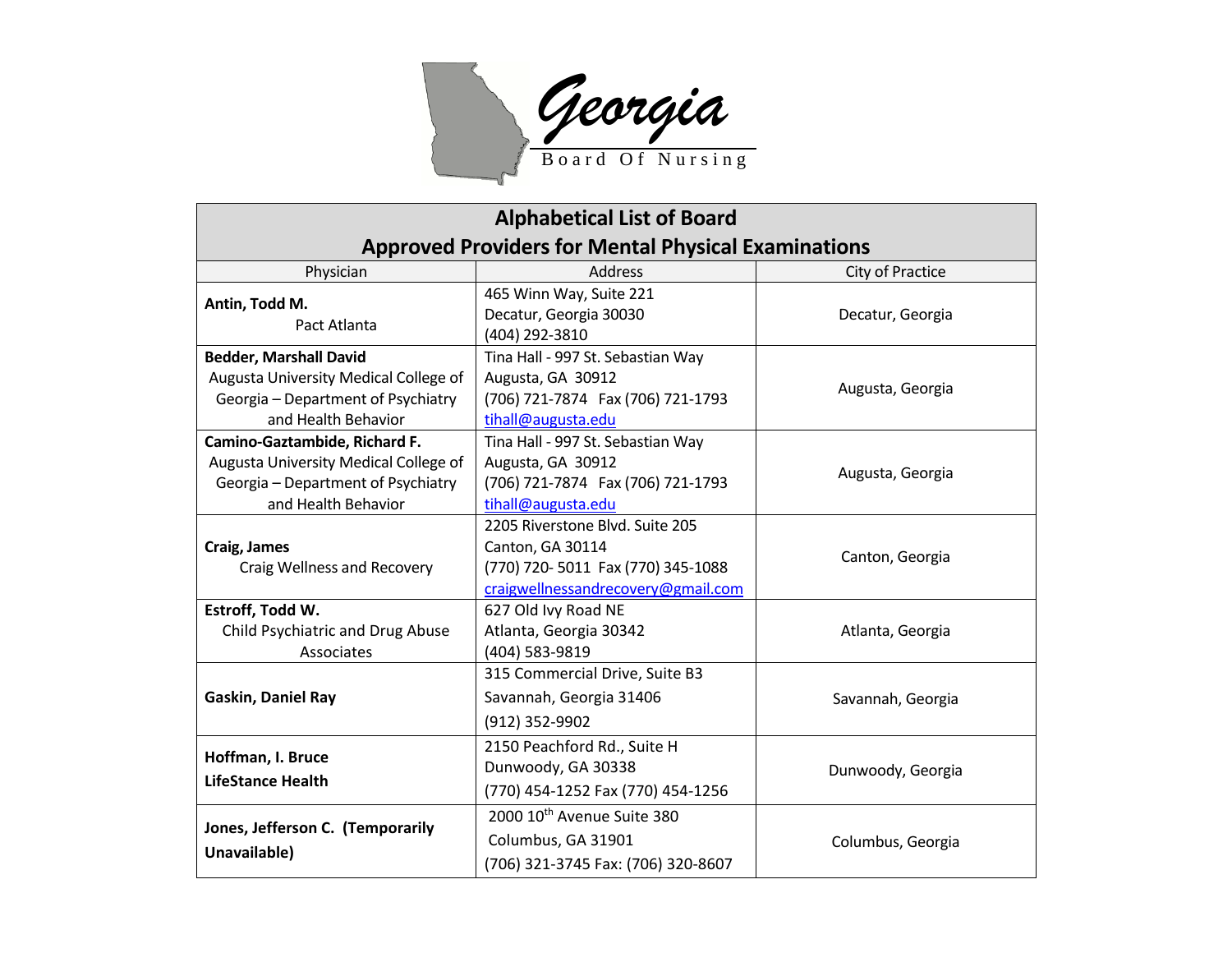

| <b>Alphabetical List of Board</b>                                                                                                   |                                                                                                                                |                   |
|-------------------------------------------------------------------------------------------------------------------------------------|--------------------------------------------------------------------------------------------------------------------------------|-------------------|
| <b>Approved Providers for Mental Physical Examinations</b>                                                                          |                                                                                                                                |                   |
| Physician                                                                                                                           | <b>Address</b>                                                                                                                 | City of Practice  |
| Antin, Todd M.<br>Pact Atlanta                                                                                                      | 465 Winn Way, Suite 221<br>Decatur, Georgia 30030<br>(404) 292-3810                                                            | Decatur, Georgia  |
| <b>Bedder, Marshall David</b><br>Augusta University Medical College of<br>Georgia - Department of Psychiatry<br>and Health Behavior | Tina Hall - 997 St. Sebastian Way<br>Augusta, GA 30912<br>(706) 721-7874 Fax (706) 721-1793<br>tihall@augusta.edu              | Augusta, Georgia  |
| Camino-Gaztambide, Richard F.<br>Augusta University Medical College of<br>Georgia - Department of Psychiatry<br>and Health Behavior | Tina Hall - 997 St. Sebastian Way<br>Augusta, GA 30912<br>(706) 721-7874 Fax (706) 721-1793<br>tihall@augusta.edu              | Augusta, Georgia  |
| Craig, James<br>Craig Wellness and Recovery                                                                                         | 2205 Riverstone Blvd. Suite 205<br>Canton, GA 30114<br>(770) 720-5011 Fax (770) 345-1088<br>craigwellnessandrecovery@gmail.com | Canton, Georgia   |
| Estroff, Todd W.<br>Child Psychiatric and Drug Abuse<br>Associates                                                                  | 627 Old Ivy Road NE<br>Atlanta, Georgia 30342<br>(404) 583-9819                                                                | Atlanta, Georgia  |
| Gaskin, Daniel Ray                                                                                                                  | 315 Commercial Drive, Suite B3<br>Savannah, Georgia 31406<br>(912) 352-9902                                                    | Savannah, Georgia |
| Hoffman, I. Bruce<br><b>LifeStance Health</b>                                                                                       | 2150 Peachford Rd., Suite H<br>Dunwoody, GA 30338<br>(770) 454-1252 Fax (770) 454-1256                                         | Dunwoody, Georgia |
| Jones, Jefferson C. (Temporarily<br>Unavailable)                                                                                    | 2000 10th Avenue Suite 380<br>Columbus, GA 31901<br>(706) 321-3745 Fax: (706) 320-8607                                         | Columbus, Georgia |